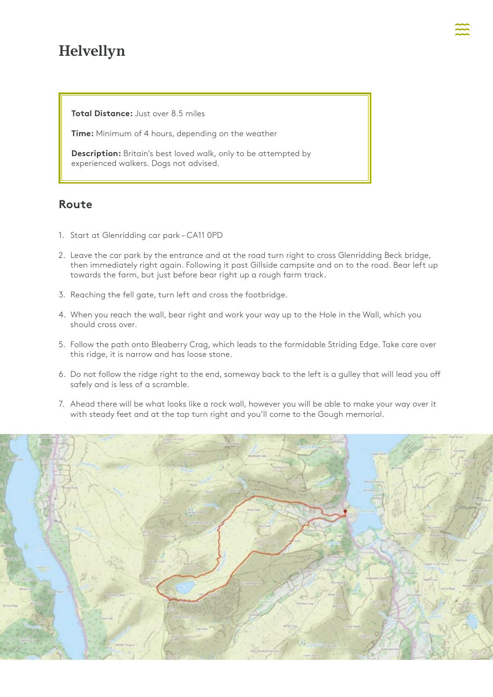## Helvellyn

**Total Distance:** Just over 8.5 miles

**Time:** Minimum of 4 hours, depending on the weather

**Description:** Britain's best loved walk, only to be attempted by experienced walkers. Dogs not advised.

## **Route**

- 1. Start at Glenridding car park CA11 0PD
- 2. Leave the car park by the entrance and at the road turn right to cross Glenridding Beck bridge, then immediately right again. Following it past Gillside campsite and on to the road. Bear left up towards the farm, but just before bear right up a rough farm track.
- 3. Reaching the fell gate, turn left and cross the footbridge.
- 4. When you reach the wall, bear right and work your way up to the Hole in the Wall, which you should cross over.
- 5. Follow the path onto Bleaberry Crag, which leads to the formidable Striding Edge. Take care over this ridge, it is narrow and has loose stone.
- 6. Do not follow the ridge right to the end, someway back to the left is a gulley that will lead you off safely and is less of a scramble.
- 7. Ahead there will be what looks like a rock wall, however you will be able to make your way over it with steady feet and at the top turn right and you'll come to the Gough memorial.